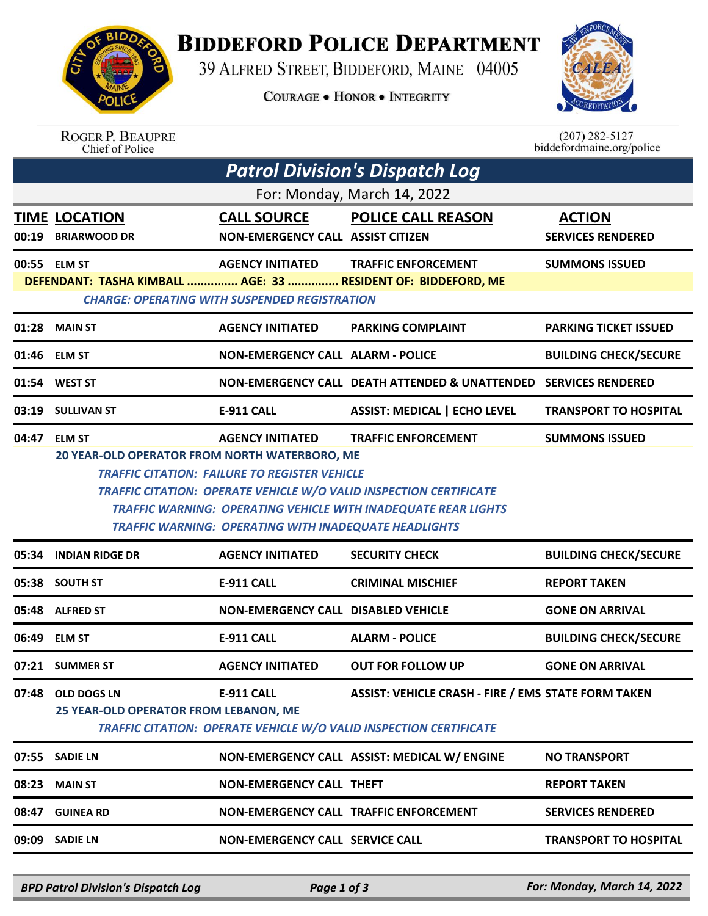

## **BIDDEFORD POLICE DEPARTMENT**

39 ALFRED STREET, BIDDEFORD, MAINE 04005

**COURAGE . HONOR . INTEGRITY** 



## ROGER P. BEAUPRE<br>Chief of Police

 $(207)$  282-5127 biddefordmaine.org/police

| <b>Patrol Division's Dispatch Log</b>                                         |                                                                                                                                                                                                                                                                                                                                                                                                                                |                                                                |                                                                                                                                         |                                           |  |  |  |
|-------------------------------------------------------------------------------|--------------------------------------------------------------------------------------------------------------------------------------------------------------------------------------------------------------------------------------------------------------------------------------------------------------------------------------------------------------------------------------------------------------------------------|----------------------------------------------------------------|-----------------------------------------------------------------------------------------------------------------------------------------|-------------------------------------------|--|--|--|
| For: Monday, March 14, 2022                                                   |                                                                                                                                                                                                                                                                                                                                                                                                                                |                                                                |                                                                                                                                         |                                           |  |  |  |
| 00:19                                                                         | <b>TIME LOCATION</b><br><b>BRIARWOOD DR</b>                                                                                                                                                                                                                                                                                                                                                                                    | <b>CALL SOURCE</b><br><b>NON-EMERGENCY CALL ASSIST CITIZEN</b> | <b>POLICE CALL REASON</b>                                                                                                               | <b>ACTION</b><br><b>SERVICES RENDERED</b> |  |  |  |
| 00:55 ELM ST<br>DEFENDANT: TASHA KIMBALL  AGE: 33  RESIDENT OF: BIDDEFORD, ME | <b>SUMMONS ISSUED</b>                                                                                                                                                                                                                                                                                                                                                                                                          |                                                                |                                                                                                                                         |                                           |  |  |  |
| 01:28                                                                         | <b>MAIN ST</b>                                                                                                                                                                                                                                                                                                                                                                                                                 | <b>AGENCY INITIATED</b>                                        | <b>PARKING COMPLAINT</b>                                                                                                                | <b>PARKING TICKET ISSUED</b>              |  |  |  |
|                                                                               | 01:46 ELM ST                                                                                                                                                                                                                                                                                                                                                                                                                   | <b>NON-EMERGENCY CALL ALARM - POLICE</b>                       |                                                                                                                                         | <b>BUILDING CHECK/SECURE</b>              |  |  |  |
| 01:54                                                                         | <b>WEST ST</b>                                                                                                                                                                                                                                                                                                                                                                                                                 |                                                                | NON-EMERGENCY CALL DEATH ATTENDED & UNATTENDED SERVICES RENDERED                                                                        |                                           |  |  |  |
|                                                                               | 03:19 SULLIVAN ST                                                                                                                                                                                                                                                                                                                                                                                                              | <b>E-911 CALL</b>                                              | <b>ASSIST: MEDICAL   ECHO LEVEL</b>                                                                                                     | <b>TRANSPORT TO HOSPITAL</b>              |  |  |  |
| 04:47                                                                         | <b>TRAFFIC ENFORCEMENT</b><br><b>ELM ST</b><br><b>AGENCY INITIATED</b><br><b>SUMMONS ISSUED</b><br>20 YEAR-OLD OPERATOR FROM NORTH WATERBORO, ME<br><b>TRAFFIC CITATION: FAILURE TO REGISTER VEHICLE</b><br><b>TRAFFIC CITATION: OPERATE VEHICLE W/O VALID INSPECTION CERTIFICATE</b><br><b>TRAFFIC WARNING: OPERATING VEHICLE WITH INADEQUATE REAR LIGHTS</b><br><b>TRAFFIC WARNING: OPERATING WITH INADEQUATE HEADLIGHTS</b> |                                                                |                                                                                                                                         |                                           |  |  |  |
| 05:34                                                                         | <b>INDIAN RIDGE DR</b>                                                                                                                                                                                                                                                                                                                                                                                                         | <b>AGENCY INITIATED</b>                                        | <b>SECURITY CHECK</b>                                                                                                                   | <b>BUILDING CHECK/SECURE</b>              |  |  |  |
|                                                                               | 05:38 SOUTH ST                                                                                                                                                                                                                                                                                                                                                                                                                 | E-911 CALL                                                     | <b>CRIMINAL MISCHIEF</b>                                                                                                                | <b>REPORT TAKEN</b>                       |  |  |  |
|                                                                               | 05:48 ALFRED ST                                                                                                                                                                                                                                                                                                                                                                                                                | <b>NON-EMERGENCY CALL DISABLED VEHICLE</b>                     |                                                                                                                                         | <b>GONE ON ARRIVAL</b>                    |  |  |  |
|                                                                               | 06:49 ELM ST                                                                                                                                                                                                                                                                                                                                                                                                                   | <b>E-911 CALL</b>                                              | <b>ALARM - POLICE</b>                                                                                                                   | <b>BUILDING CHECK/SECURE</b>              |  |  |  |
|                                                                               | 07:21 SUMMER ST                                                                                                                                                                                                                                                                                                                                                                                                                | <b>AGENCY INITIATED</b>                                        | <b>OUT FOR FOLLOW UP</b>                                                                                                                | <b>GONE ON ARRIVAL</b>                    |  |  |  |
|                                                                               | 07:48 OLD DOGS LN<br>25 YEAR-OLD OPERATOR FROM LEBANON, ME                                                                                                                                                                                                                                                                                                                                                                     | <b>E-911 CALL</b>                                              | <b>ASSIST: VEHICLE CRASH - FIRE / EMS STATE FORM TAKEN</b><br><b>TRAFFIC CITATION: OPERATE VEHICLE W/O VALID INSPECTION CERTIFICATE</b> |                                           |  |  |  |
| 07:55                                                                         | <b>SADIE LN</b>                                                                                                                                                                                                                                                                                                                                                                                                                |                                                                | NON-EMERGENCY CALL ASSIST: MEDICAL W/ ENGINE                                                                                            | <b>NO TRANSPORT</b>                       |  |  |  |
| 08:23                                                                         | <b>MAIN ST</b>                                                                                                                                                                                                                                                                                                                                                                                                                 | <b>NON-EMERGENCY CALL THEFT</b>                                |                                                                                                                                         | <b>REPORT TAKEN</b>                       |  |  |  |
| 08:47                                                                         | <b>GUINEA RD</b>                                                                                                                                                                                                                                                                                                                                                                                                               |                                                                | <b>NON-EMERGENCY CALL TRAFFIC ENFORCEMENT</b>                                                                                           | <b>SERVICES RENDERED</b>                  |  |  |  |
| 09:09                                                                         | <b>SADIE LN</b>                                                                                                                                                                                                                                                                                                                                                                                                                | <b>NON-EMERGENCY CALL SERVICE CALL</b>                         |                                                                                                                                         | <b>TRANSPORT TO HOSPITAL</b>              |  |  |  |

*BPD Patrol Division's Dispatch Log Page 1 of 3 For: Monday, March 14, 2022*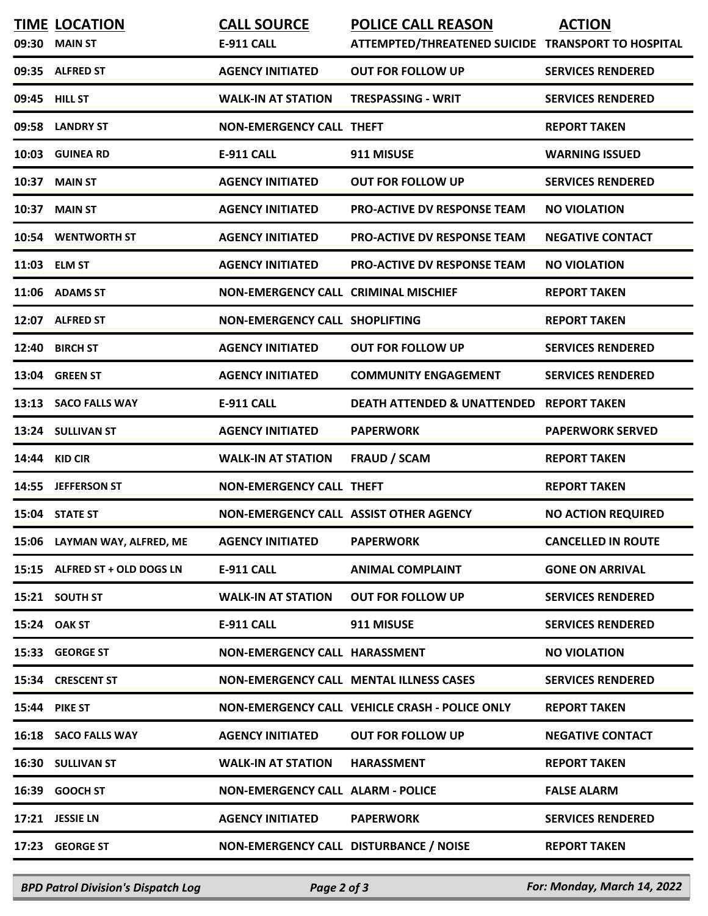| 09:30 | <b>TIME LOCATION</b><br><b>MAIN ST</b> | <b>CALL SOURCE</b><br><b>E-911 CALL</b>     | <b>POLICE CALL REASON</b><br>ATTEMPTED/THREATENED SUICIDE TRANSPORT TO HOSPITAL | <b>ACTION</b>             |
|-------|----------------------------------------|---------------------------------------------|---------------------------------------------------------------------------------|---------------------------|
| 09:35 | <b>ALFRED ST</b>                       | <b>AGENCY INITIATED</b>                     | <b>OUT FOR FOLLOW UP</b>                                                        | <b>SERVICES RENDERED</b>  |
|       | 09:45 HILL ST                          | <b>WALK-IN AT STATION</b>                   | TRESPASSING - WRIT                                                              | <b>SERVICES RENDERED</b>  |
|       | 09:58 LANDRY ST                        | <b>NON-EMERGENCY CALL THEFT</b>             |                                                                                 | <b>REPORT TAKEN</b>       |
| 10:03 | <b>GUINEA RD</b>                       | <b>E-911 CALL</b>                           | 911 MISUSE                                                                      | <b>WARNING ISSUED</b>     |
| 10:37 | <b>MAIN ST</b>                         | <b>AGENCY INITIATED</b>                     | <b>OUT FOR FOLLOW UP</b>                                                        | <b>SERVICES RENDERED</b>  |
| 10:37 | <b>MAIN ST</b>                         | <b>AGENCY INITIATED</b>                     | <b>PRO-ACTIVE DV RESPONSE TEAM</b>                                              | <b>NO VIOLATION</b>       |
|       | 10:54 WENTWORTH ST                     | <b>AGENCY INITIATED</b>                     | <b>PRO-ACTIVE DV RESPONSE TEAM</b>                                              | <b>NEGATIVE CONTACT</b>   |
|       | 11:03 ELM ST                           | <b>AGENCY INITIATED</b>                     | <b>PRO-ACTIVE DV RESPONSE TEAM</b>                                              | <b>NO VIOLATION</b>       |
|       | 11:06 ADAMS ST                         | <b>NON-EMERGENCY CALL CRIMINAL MISCHIEF</b> |                                                                                 | <b>REPORT TAKEN</b>       |
|       | 12:07 ALFRED ST                        | <b>NON-EMERGENCY CALL SHOPLIFTING</b>       |                                                                                 | <b>REPORT TAKEN</b>       |
| 12:40 | <b>BIRCH ST</b>                        | <b>AGENCY INITIATED</b>                     | <b>OUT FOR FOLLOW UP</b>                                                        | <b>SERVICES RENDERED</b>  |
| 13:04 | <b>GREEN ST</b>                        | <b>AGENCY INITIATED</b>                     | <b>COMMUNITY ENGAGEMENT</b>                                                     | <b>SERVICES RENDERED</b>  |
|       | 13:13 SACO FALLS WAY                   | <b>E-911 CALL</b>                           | <b>DEATH ATTENDED &amp; UNATTENDED</b>                                          | <b>REPORT TAKEN</b>       |
|       | 13:24 SULLIVAN ST                      | <b>AGENCY INITIATED</b>                     | <b>PAPERWORK</b>                                                                | <b>PAPERWORK SERVED</b>   |
| 14:44 | <b>KID CIR</b>                         | <b>WALK-IN AT STATION</b>                   | <b>FRAUD / SCAM</b>                                                             | <b>REPORT TAKEN</b>       |
|       | 14:55 JEFFERSON ST                     | <b>NON-EMERGENCY CALL THEFT</b>             |                                                                                 | <b>REPORT TAKEN</b>       |
|       | 15:04 STATE ST                         | NON-EMERGENCY CALL ASSIST OTHER AGENCY      |                                                                                 | <b>NO ACTION REQUIRED</b> |
|       | 15:06 LAYMAN WAY, ALFRED, ME           | <b>AGENCY INITIATED</b>                     | <b>PAPERWORK</b>                                                                | <b>CANCELLED IN ROUTE</b> |
|       | 15:15 ALFRED ST + OLD DOGS LN          | <b>E-911 CALL</b>                           | <b>ANIMAL COMPLAINT</b>                                                         | <b>GONE ON ARRIVAL</b>    |
|       | 15:21 SOUTH ST                         | <b>WALK-IN AT STATION</b>                   | <b>OUT FOR FOLLOW UP</b>                                                        | <b>SERVICES RENDERED</b>  |
|       | 15:24 OAK ST                           | <b>E-911 CALL</b>                           | 911 MISUSE                                                                      | <b>SERVICES RENDERED</b>  |
|       | 15:33 GEORGE ST                        | NON-EMERGENCY CALL HARASSMENT               |                                                                                 | <b>NO VIOLATION</b>       |
|       | 15:34 CRESCENT ST                      |                                             | <b>NON-EMERGENCY CALL MENTAL ILLNESS CASES</b>                                  | <b>SERVICES RENDERED</b>  |
|       | <b>15:44 PIKE ST</b>                   |                                             | NON-EMERGENCY CALL VEHICLE CRASH - POLICE ONLY                                  | <b>REPORT TAKEN</b>       |
|       | 16:18 SACO FALLS WAY                   | <b>AGENCY INITIATED</b>                     | <b>OUT FOR FOLLOW UP</b>                                                        | <b>NEGATIVE CONTACT</b>   |
|       | 16:30 SULLIVAN ST                      | <b>WALK-IN AT STATION</b>                   | <b>HARASSMENT</b>                                                               | <b>REPORT TAKEN</b>       |
| 16:39 | <b>GOOCH ST</b>                        | <b>NON-EMERGENCY CALL ALARM - POLICE</b>    |                                                                                 | <b>FALSE ALARM</b>        |
|       | 17:21 JESSIE LN                        | <b>AGENCY INITIATED</b>                     | <b>PAPERWORK</b>                                                                | <b>SERVICES RENDERED</b>  |
|       | 17:23 GEORGE ST                        | NON-EMERGENCY CALL DISTURBANCE / NOISE      |                                                                                 | <b>REPORT TAKEN</b>       |

*BPD Patrol Division's Dispatch Log Page 2 of 3 For: Monday, March 14, 2022*